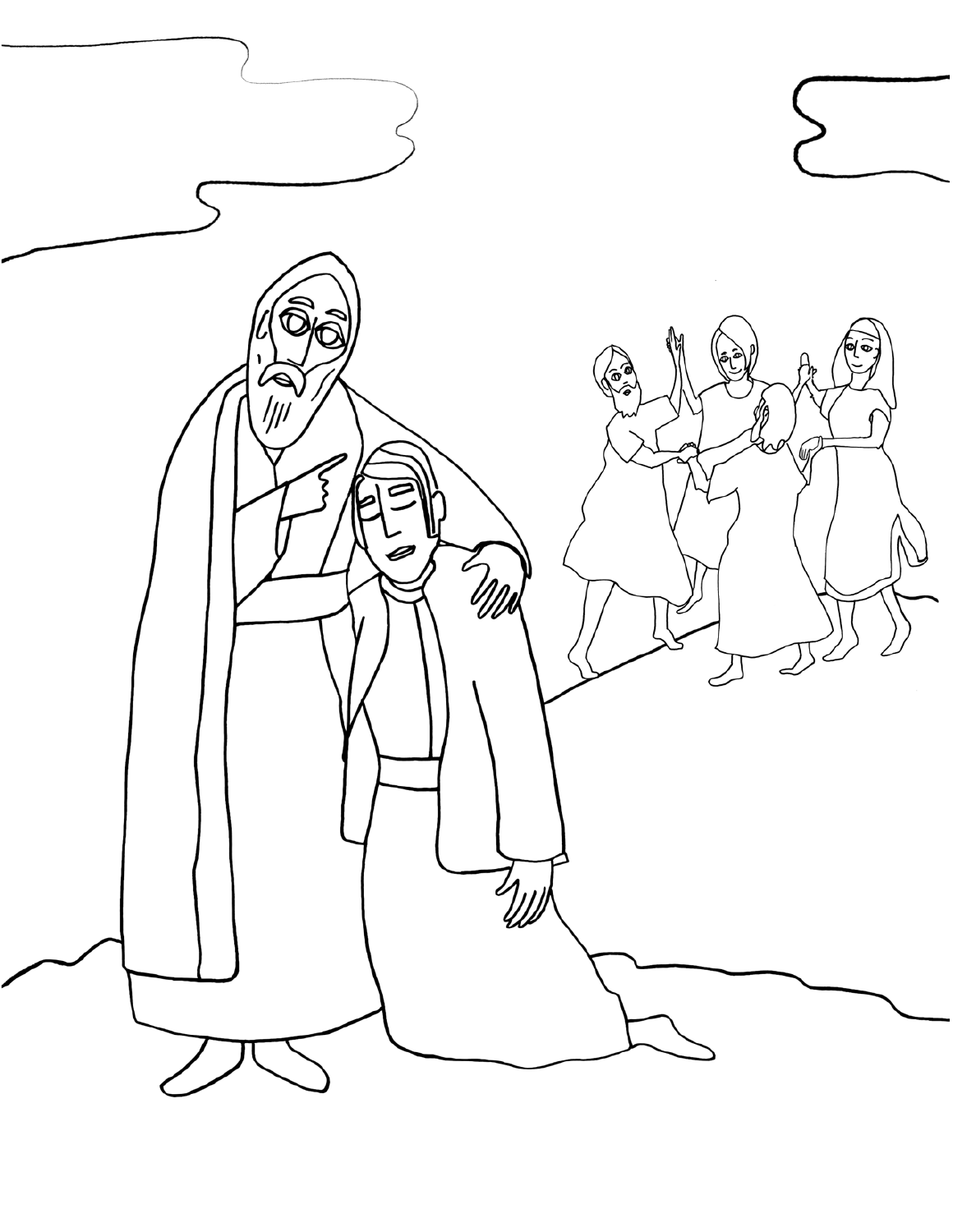